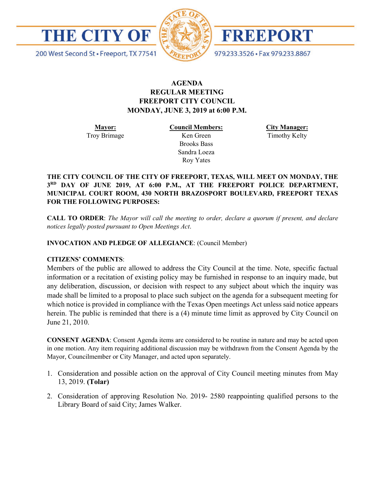



FREEPORT

979.233.3526 · Fax 979.233.8867

200 West Second St · Freeport, TX 77541

# **AGENDA REGULAR MEETING FREEPORT CITY COUNCIL MONDAY, JUNE 3, 2019 at 6:00 P.M.**

**Mayor:** Troy Brimage **Council Members:** Ken Green

> Brooks Bass Sandra Loeza Roy Yates

**City Manager:**

Timothy Kelty

**THE CITY COUNCIL OF THE CITY OF FREEPORT, TEXAS, WILL MEET ON MONDAY, THE 3RD DAY OF JUNE 2019, AT 6:00 P.M., AT THE FREEPORT POLICE DEPARTMENT, MUNICIPAL COURT ROOM, 430 NORTH BRAZOSPORT BOULEVARD, FREEPORT TEXAS FOR THE FOLLOWING PURPOSES:**

**CALL TO ORDER**: *The Mayor will call the meeting to order, declare a quorum if present, and declare notices legally posted pursuant to Open Meetings Act*.

**INVOCATION AND PLEDGE OF ALLEGIANCE**: (Council Member)

# **CITIZENS' COMMENTS**:

Members of the public are allowed to address the City Council at the time. Note, specific factual information or a recitation of existing policy may be furnished in response to an inquiry made, but any deliberation, discussion, or decision with respect to any subject about which the inquiry was made shall be limited to a proposal to place such subject on the agenda for a subsequent meeting for which notice is provided in compliance with the Texas Open meetings Act unless said notice appears herein. The public is reminded that there is a (4) minute time limit as approved by City Council on June 21, 2010.

**CONSENT AGENDA**: Consent Agenda items are considered to be routine in nature and may be acted upon in one motion. Any item requiring additional discussion may be withdrawn from the Consent Agenda by the Mayor, Councilmember or City Manager, and acted upon separately.

- 1. Consideration and possible action on the approval of City Council meeting minutes from May 13, 2019. **(Tolar)**
- 2. Consideration of approving Resolution No. 2019- 2580 reappointing qualified persons to the Library Board of said City; James Walker.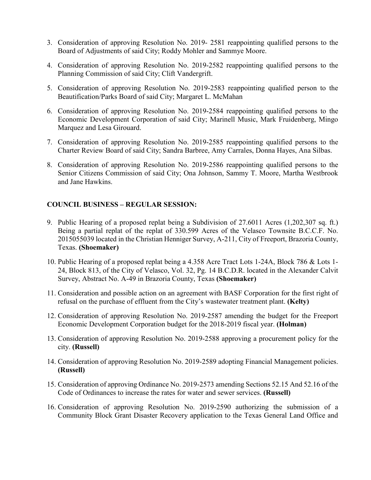- 3. Consideration of approving Resolution No. 2019- 2581 reappointing qualified persons to the Board of Adjustments of said City; Roddy Mohler and Sammye Moore.
- 4. Consideration of approving Resolution No. 2019-2582 reappointing qualified persons to the Planning Commission of said City; Clift Vandergrift.
- 5. Consideration of approving Resolution No. 2019-2583 reappointing qualified person to the Beautification/Parks Board of said City; Margaret L. McMahan
- 6. Consideration of approving Resolution No. 2019-2584 reappointing qualified persons to the Economic Development Corporation of said City; Marinell Music, Mark Fruidenberg, Mingo Marquez and Lesa Girouard.
- 7. Consideration of approving Resolution No. 2019-2585 reappointing qualified persons to the Charter Review Board of said City; Sandra Barbree, Amy Carrales, Donna Hayes, Ana Silbas.
- 8. Consideration of approving Resolution No. 2019-2586 reappointing qualified persons to the Senior Citizens Commission of said City; Ona Johnson, Sammy T. Moore, Martha Westbrook and Jane Hawkins.

## **COUNCIL BUSINESS – REGULAR SESSION:**

- 9. Public Hearing of a proposed replat being a Subdivision of 27.6011 Acres (1,202,307 sq. ft.) Being a partial replat of the replat of 330.599 Acres of the Velasco Townsite B.C.C.F. No. 2015055039 located in the Christian Henniger Survey, A-211, City of Freeport, Brazoria County, Texas. **(Shoemaker)**
- 10. Public Hearing of a proposed replat being a 4.358 Acre Tract Lots 1-24A, Block 786 & Lots 1- 24, Block 813, of the City of Velasco, Vol. 32, Pg. 14 B.C.D.R. located in the Alexander Calvit Survey, Abstract No. A-49 in Brazoria County, Texas **(Shoemaker)**
- 11. Consideration and possible action on an agreement with BASF Corporation for the first right of refusal on the purchase of effluent from the City's wastewater treatment plant. **(Kelty)**
- 12. Consideration of approving Resolution No. 2019-2587 amending the budget for the Freeport Economic Development Corporation budget for the 2018-2019 fiscal year. **(Holman)**
- 13. Consideration of approving Resolution No. 2019-2588 approving a procurement policy for the city. **(Russell)**
- 14. Consideration of approving Resolution No. 2019-2589 adopting Financial Management policies. **(Russell)**
- 15. Consideration of approving Ordinance No. 2019-2573 amending Sections 52.15 And 52.16 of the Code of Ordinances to increase the rates for water and sewer services. **(Russell)**
- 16. Consideration of approving Resolution No. 2019-2590 authorizing the submission of a Community Block Grant Disaster Recovery application to the Texas General Land Office and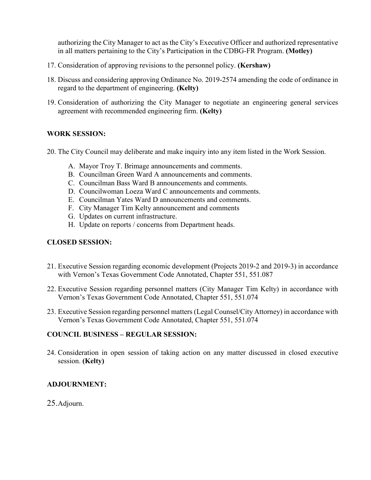authorizing the City Manager to act as the City's Executive Officer and authorized representative in all matters pertaining to the City's Participation in the CDBG-FR Program. **(Motley)**

- 17. Consideration of approving revisions to the personnel policy. **(Kershaw)**
- 18. Discuss and considering approving Ordinance No. 2019-2574 amending the code of ordinance in regard to the department of engineering. **(Kelty)**
- 19. Consideration of authorizing the City Manager to negotiate an engineering general services agreement with recommended engineering firm. **(Kelty)**

# **WORK SESSION:**

- 20. The City Council may deliberate and make inquiry into any item listed in the Work Session.
	- A. Mayor Troy T. Brimage announcements and comments.
	- B. Councilman Green Ward A announcements and comments.
	- C. Councilman Bass Ward B announcements and comments.
	- D. Councilwoman Loeza Ward C announcements and comments.
	- E. Councilman Yates Ward D announcements and comments.
	- F. City Manager Tim Kelty announcement and comments
	- G. Updates on current infrastructure.
	- H. Update on reports / concerns from Department heads.

### **CLOSED SESSION:**

- 21. Executive Session regarding economic development (Projects 2019-2 and 2019-3) in accordance with Vernon's Texas Government Code Annotated, Chapter 551, 551.087
- 22. Executive Session regarding personnel matters (City Manager Tim Kelty) in accordance with Vernon's Texas Government Code Annotated, Chapter 551, 551.074
- 23. Executive Session regarding personnel matters (Legal Counsel/City Attorney) in accordance with Vernon's Texas Government Code Annotated, Chapter 551, 551.074

### **COUNCIL BUSINESS – REGULAR SESSION:**

24. Consideration in open session of taking action on any matter discussed in closed executive session. **(Kelty)**

### **ADJOURNMENT:**

### 25.Adjourn.